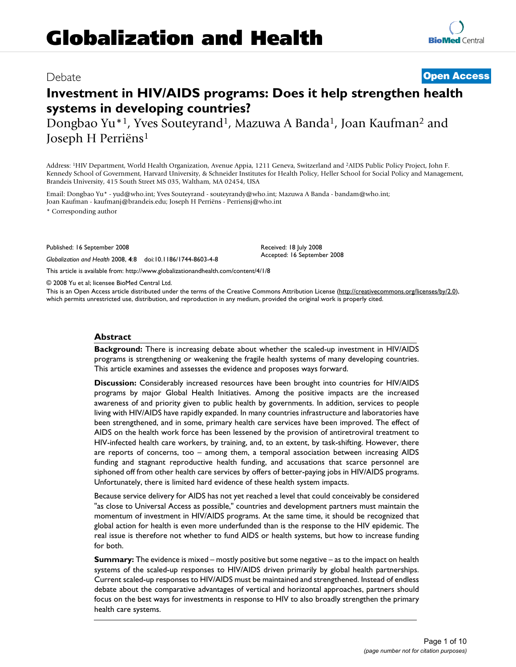## Debate **[Open Access](http://www.biomedcentral.com/info/about/charter/)**

# **Investment in HIV/AIDS programs: Does it help strengthen health systems in developing countries?**

Dongbao Yu<sup>\*1</sup>, Yves Souteyrand<sup>1</sup>, Mazuwa A Banda<sup>1</sup>, Joan Kaufman<sup>2</sup> and Joseph H Perriëns1

Address: 1HIV Department, World Health Organization, Avenue Appia, 1211 Geneva, Switzerland and 2AIDS Public Policy Project, John F. Kennedy School of Government, Harvard University, & Schneider Institutes for Health Policy, Heller School for Social Policy and Management, Brandeis University, 415 South Street MS 035, Waltham, MA 02454, USA

Email: Dongbao Yu\* - yud@who.int; Yves Souteyrand - souteyrandy@who.int; Mazuwa A Banda - bandam@who.int; Joan Kaufman - kaufmanj@brandeis.edu; Joseph H Perriëns - Perriensj@who.int

\* Corresponding author

Published: 16 September 2008

*Globalization and Health* 2008, **4**:8 doi:10.1186/1744-8603-4-8

Received: 18 July 2008 Accepted: 16 September 2008

[This article is available from: http://www.globalizationandhealth.com/content/4/1/8](http://www.globalizationandhealth.com/content/4/1/8)

© 2008 Yu et al; licensee BioMed Central Ltd.

This is an Open Access article distributed under the terms of the Creative Commons Attribution License [\(http://creativecommons.org/licenses/by/2.0\)](http://creativecommons.org/licenses/by/2.0), which permits unrestricted use, distribution, and reproduction in any medium, provided the original work is properly cited.

#### **Abstract**

**Background:** There is increasing debate about whether the scaled-up investment in HIV/AIDS programs is strengthening or weakening the fragile health systems of many developing countries. This article examines and assesses the evidence and proposes ways forward.

**Discussion:** Considerably increased resources have been brought into countries for HIV/AIDS programs by major Global Health Initiatives. Among the positive impacts are the increased awareness of and priority given to public health by governments. In addition, services to people living with HIV/AIDS have rapidly expanded. In many countries infrastructure and laboratories have been strengthened, and in some, primary health care services have been improved. The effect of AIDS on the health work force has been lessened by the provision of antiretroviral treatment to HIV-infected health care workers, by training, and, to an extent, by task-shifting. However, there are reports of concerns, too  $-$  among them, a temporal association between increasing AIDS funding and stagnant reproductive health funding, and accusations that scarce personnel are siphoned off from other health care services by offers of better-paying jobs in HIV/AIDS programs. Unfortunately, there is limited hard evidence of these health system impacts.

Because service delivery for AIDS has not yet reached a level that could conceivably be considered "as close to Universal Access as possible," countries and development partners must maintain the momentum of investment in HIV/AIDS programs. At the same time, it should be recognized that global action for health is even more underfunded than is the response to the HIV epidemic. The real issue is therefore not whether to fund AIDS or health systems, but how to increase funding for both.

**Summary:** The evidence is mixed – mostly positive but some negative – as to the impact on health systems of the scaled-up responses to HIV/AIDS driven primarily by global health partnerships. Current scaled-up responses to HIV/AIDS must be maintained and strengthened. Instead of endless debate about the comparative advantages of vertical and horizontal approaches, partners should focus on the best ways for investments in response to HIV to also broadly strengthen the primary health care systems.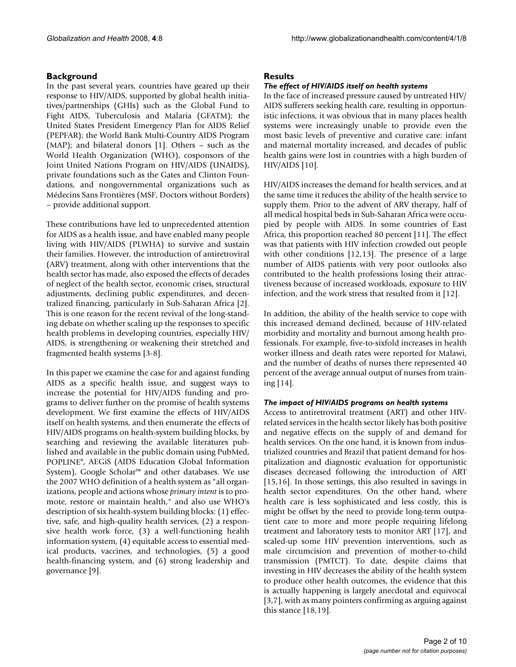## **Background**

In the past several years, countries have geared up their response to HIV/AIDS, supported by global health initiatives/partnerships (GHIs) such as the Global Fund to Fight AIDS, Tuberculosis and Malaria (GFATM); the United States President Emergency Plan for AIDS Relief (PEPFAR); the World Bank Multi-Country AIDS Program (MAP); and bilateral donors [1]. Others – such as the World Health Organization (WHO), cosponsors of the Joint United Nations Program on HIV/AIDS (UNAIDS), private foundations such as the Gates and Clinton Foundations, and nongovernmental organizations such as Médecins Sans Frontières (MSF, Doctors without Borders) – provide additional support.

These contributions have led to unprecedented attention for AIDS as a health issue, and have enabled many people living with HIV/AIDS (PLWHA) to survive and sustain their families. However, the introduction of antiretroviral (ARV) treatment, along with other interventions that the health sector has made, also exposed the effects of decades of neglect of the health sector, economic crises, structural adjustments, declining public expenditures, and decentralized financing, particularly in Sub-Saharan Africa [2]. This is one reason for the recent revival of the long-standing debate on whether scaling up the responses to specific health problems in developing countries, especially HIV/ AIDS, is strengthening or weakening their stretched and fragmented health systems [3-8].

In this paper we examine the case for and against funding AIDS as a specific health issue, and suggest ways to increase the potential for HIV/AIDS funding and programs to deliver further on the promise of health systems development. We first examine the effects of HIV/AIDS itself on health systems, and then enumerate the effects of HIV/AIDS programs on health-system building blocks, by searching and reviewing the available literatures published and available in the public domain using PubMed, POPLINE®, AEGiS (AIDS Education Global Information System), Google Scholar™ and other databases. We use the 2007 WHO definition of a health system as "all organizations, people and actions whose *primary intent* is to promote, restore or maintain health," and also use WHO's description of six health-system building blocks: (1) effective, safe, and high-quality health services, (2) a responsive health work force, (3) a well-functioning health information system, (4) equitable access to essential medical products, vaccines, and technologies, (5) a good health-financing system, and (6) strong leadership and governance [9].

## **Results**

## *The effect of HIV/AIDS itself on health systems*

In the face of increased pressure caused by untreated HIV/ AIDS sufferers seeking health care, resulting in opportunistic infections, it was obvious that in many places health systems were increasingly unable to provide even the most basic levels of preventive and curative care: infant and maternal mortality increased, and decades of public health gains were lost in countries with a high burden of HIV/AIDS [10].

HIV/AIDS increases the demand for health services, and at the same time it reduces the ability of the health service to supply them. Prior to the advent of ARV therapy, half of all medical hospital beds in Sub-Saharan Africa were occupied by people with AIDS. In some countries of East Africa, this proportion reached 80 percent [11]. The effect was that patients with HIV infection crowded out people with other conditions [12,13]. The presence of a large number of AIDS patients with very poor outlooks also contributed to the health professions losing their attractiveness because of increased workloads, exposure to HIV infection, and the work stress that resulted from it [12].

In addition, the ability of the health service to cope with this increased demand declined, because of HIV-related morbidity and mortality and burnout among health professionals. For example, five-to-sixfold increases in health worker illness and death rates were reported for Malawi, and the number of deaths of nurses there represented 40 percent of the average annual output of nurses from training [14].

## *The impact of HIV/AIDS programs on health systems*

Access to antiretroviral treatment (ART) and other HIVrelated services in the health sector likely has both positive and negative effects on the supply of and demand for health services. On the one hand, it is known from industrialized countries and Brazil that patient demand for hospitalization and diagnostic evaluation for opportunistic diseases decreased following the introduction of ART [15,16]. In those settings, this also resulted in savings in health sector expenditures. On the other hand, where health care is less sophisticated and less costly, this is might be offset by the need to provide long-term outpatient care to more and more people requiring lifelong treatment and laboratory tests to monitor ART [17], and scaled-up some HIV prevention interventions, such as male circumcision and prevention of mother-to-child transmission (PMTCT). To date, despite claims that investing in HIV decreases the ability of the health system to produce other health outcomes, the evidence that this is actually happening is largely anecdotal and equivocal [3,7], with as many pointers confirming as arguing against this stance [18,19].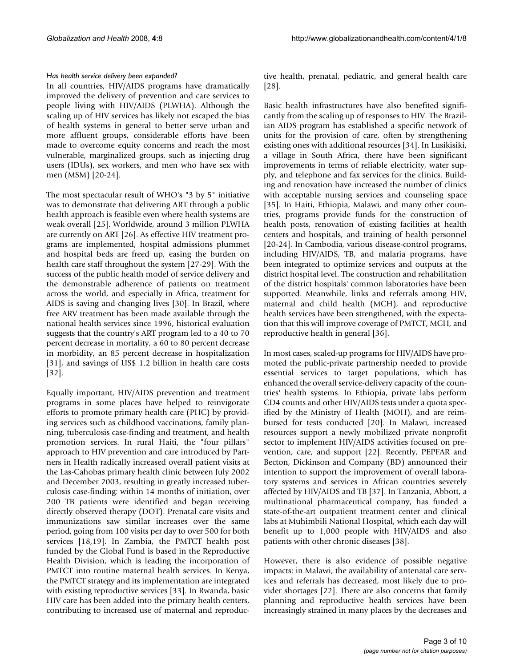## *Has health service delivery been expanded?*

In all countries, HIV/AIDS programs have dramatically improved the delivery of prevention and care services to people living with HIV/AIDS (PLWHA). Although the scaling up of HIV services has likely not escaped the bias of health systems in general to better serve urban and more affluent groups, considerable efforts have been made to overcome equity concerns and reach the most vulnerable, marginalized groups, such as injecting drug users (IDUs), sex workers, and men who have sex with men (MSM) [20-24].

The most spectacular result of WHO's "3 by 5" initiative was to demonstrate that delivering ART through a public health approach is feasible even where health systems are weak overall [25]. Worldwide, around 3 million PLWHA are currently on ART [26]. As effective HIV treatment programs are implemented, hospital admissions plummet and hospital beds are freed up, easing the burden on health care staff throughout the system [27-29]. With the success of the public health model of service delivery and the demonstrable adherence of patients on treatment across the world, and especially in Africa, treatment for AIDS is saving and changing lives [30]. In Brazil, where free ARV treatment has been made available through the national health services since 1996, historical evaluation suggests that the country's ART program led to a 40 to 70 percent decrease in mortality, a 60 to 80 percent decrease in morbidity, an 85 percent decrease in hospitalization [31], and savings of US\$ 1.2 billion in health care costs [32].

Equally important, HIV/AIDS prevention and treatment programs in some places have helped to reinvigorate efforts to promote primary health care (PHC) by providing services such as childhood vaccinations, family planning, tuberculosis case-finding and treatment, and health promotion services. In rural Haiti, the "four pillars" approach to HIV prevention and care introduced by Partners in Health radically increased overall patient visits at the Las-Cahobas primary health clinic between July 2002 and December 2003, resulting in greatly increased tuberculosis case-finding: within 14 months of initiation, over 200 TB patients were identified and began receiving directly observed therapy (DOT). Prenatal care visits and immunizations saw similar increases over the same period, going from 100 visits per day to over 500 for both services [18,19]. In Zambia, the PMTCT health post funded by the Global Fund is based in the Reproductive Health Division, which is leading the incorporation of PMTCT into routine maternal health services. In Kenya, the PMTCT strategy and its implementation are integrated with existing reproductive services [33]. In Rwanda, basic HIV care has been added into the primary health centers, contributing to increased use of maternal and reproductive health, prenatal, pediatric, and general health care [28].

Basic health infrastructures have also benefited significantly from the scaling up of responses to HIV. The Brazilian AIDS program has established a specific network of units for the provision of care, often by strengthening existing ones with additional resources [34]. In Lusikisiki, a village in South Africa, there have been significant improvements in terms of reliable electricity, water supply, and telephone and fax services for the clinics. Building and renovation have increased the number of clinics with acceptable nursing services and counseling space [35]. In Haiti, Ethiopia, Malawi, and many other countries, programs provide funds for the construction of health posts, renovation of existing facilities at health centers and hospitals, and training of health personnel [20-24]. In Cambodia, various disease-control programs, including HIV/AIDS, TB, and malaria programs, have been integrated to optimize services and outputs at the district hospital level. The construction and rehabilitation of the district hospitals' common laboratories have been supported. Meanwhile, links and referrals among HIV, maternal and child health (MCH), and reproductive health services have been strengthened, with the expectation that this will improve coverage of PMTCT, MCH, and reproductive health in general [36].

In most cases, scaled-up programs for HIV/AIDS have promoted the public-private partnership needed to provide essential services to target populations, which has enhanced the overall service-delivery capacity of the countries' health systems. In Ethiopia, private labs perform CD4 counts and other HIV/AIDS tests under a quota specified by the Ministry of Health (MOH), and are reimbursed for tests conducted [20]. In Malawi, increased resources support a newly mobilized private nonprofit sector to implement HIV/AIDS activities focused on prevention, care, and support [22]. Recently, PEPFAR and Becton, Dickinson and Company (BD) announced their intention to support the improvement of overall laboratory systems and services in African countries severely affected by HIV/AIDS and TB [37]. In Tanzania, Abbott, a multinational pharmaceutical company, has funded a state-of-the-art outpatient treatment center and clinical labs at Muhimbili National Hospital, which each day will benefit up to 1,000 people with HIV/AIDS and also patients with other chronic diseases [38].

However, there is also evidence of possible negative impacts: in Malawi, the availability of antenatal care services and referrals has decreased, most likely due to provider shortages [22]. There are also concerns that family planning and reproductive health services have been increasingly strained in many places by the decreases and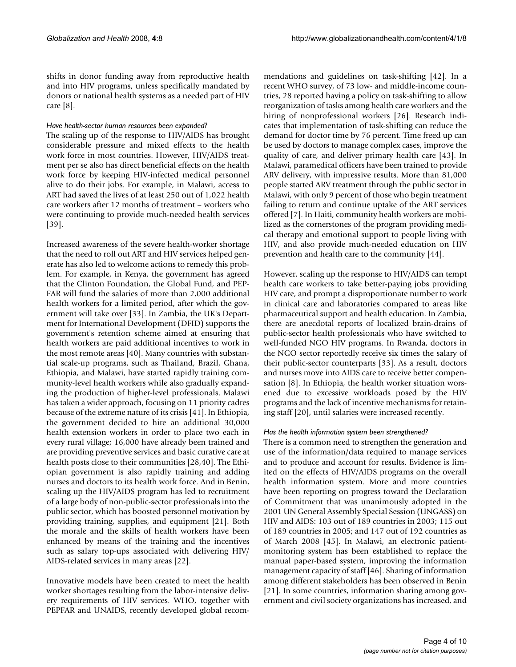shifts in donor funding away from reproductive health and into HIV programs, unless specifically mandated by donors or national health systems as a needed part of HIV care [8].

## *Have health-sector human resources been expanded?*

The scaling up of the response to HIV/AIDS has brought considerable pressure and mixed effects to the health work force in most countries. However, HIV/AIDS treatment per se also has direct beneficial effects on the health work force by keeping HIV-infected medical personnel alive to do their jobs. For example, in Malawi, access to ART had saved the lives of at least 250 out of 1,022 health care workers after 12 months of treatment – workers who were continuing to provide much-needed health services [39].

Increased awareness of the severe health-worker shortage that the need to roll out ART and HIV services helped generate has also led to welcome actions to remedy this problem. For example, in Kenya, the government has agreed that the Clinton Foundation, the Global Fund, and PEP-FAR will fund the salaries of more than 2,000 additional health workers for a limited period, after which the government will take over [33]. In Zambia, the UK's Department for International Development (DFID) supports the government's retention scheme aimed at ensuring that health workers are paid additional incentives to work in the most remote areas [40]. Many countries with substantial scale-up programs, such as Thailand, Brazil, Ghana, Ethiopia, and Malawi, have started rapidly training community-level health workers while also gradually expanding the production of higher-level professionals. Malawi has taken a wider approach, focusing on 11 priority cadres because of the extreme nature of its crisis [41]. In Ethiopia, the government decided to hire an additional 30,000 health extension workers in order to place two each in every rural village; 16,000 have already been trained and are providing preventive services and basic curative care at health posts close to their communities [28,40]. The Ethiopian government is also rapidly training and adding nurses and doctors to its health work force. And in Benin, scaling up the HIV/AIDS program has led to recruitment of a large body of non-public-sector professionals into the public sector, which has boosted personnel motivation by providing training, supplies, and equipment [21]. Both the morale and the skills of health workers have been enhanced by means of the training and the incentives such as salary top-ups associated with delivering HIV/ AIDS-related services in many areas [22].

Innovative models have been created to meet the health worker shortages resulting from the labor-intensive delivery requirements of HIV services. WHO, together with PEPFAR and UNAIDS, recently developed global recommendations and guidelines on task-shifting [42]. In a recent WHO survey, of 73 low- and middle-income countries, 28 reported having a policy on task-shifting to allow reorganization of tasks among health care workers and the hiring of nonprofessional workers [26]. Research indicates that implementation of task-shifting can reduce the demand for doctor time by 76 percent. Time freed up can be used by doctors to manage complex cases, improve the quality of care, and deliver primary health care [43]. In Malawi, paramedical officers have been trained to provide ARV delivery, with impressive results. More than 81,000 people started ARV treatment through the public sector in Malawi, with only 9 percent of those who begin treatment failing to return and continue uptake of the ART services offered [7]. In Haiti, community health workers are mobilized as the cornerstones of the program providing medical therapy and emotional support to people living with HIV, and also provide much-needed education on HIV prevention and health care to the community [44].

However, scaling up the response to HIV/AIDS can tempt health care workers to take better-paying jobs providing HIV care, and prompt a disproportionate number to work in clinical care and laboratories compared to areas like pharmaceutical support and health education. In Zambia, there are anecdotal reports of localized brain-drains of public-sector health professionals who have switched to well-funded NGO HIV programs. In Rwanda, doctors in the NGO sector reportedly receive six times the salary of their public-sector counterparts [33]. As a result, doctors and nurses move into AIDS care to receive better compensation [8]. In Ethiopia, the health worker situation worsened due to excessive workloads posed by the HIV programs and the lack of incentive mechanisms for retaining staff [20], until salaries were increased recently.

## *Has the health information system been strengthened?*

There is a common need to strengthen the generation and use of the information/data required to manage services and to produce and account for results. Evidence is limited on the effects of HIV/AIDS programs on the overall health information system. More and more countries have been reporting on progress toward the Declaration of Commitment that was unanimously adopted in the 2001 UN General Assembly Special Session (UNGASS) on HIV and AIDS: 103 out of 189 countries in 2003; 115 out of 189 countries in 2005; and 147 out of 192 countries as of March 2008 [45]. In Malawi, an electronic patientmonitoring system has been established to replace the manual paper-based system, improving the information management capacity of staff [46]. Sharing of information among different stakeholders has been observed in Benin [21]. In some countries, information sharing among government and civil society organizations has increased, and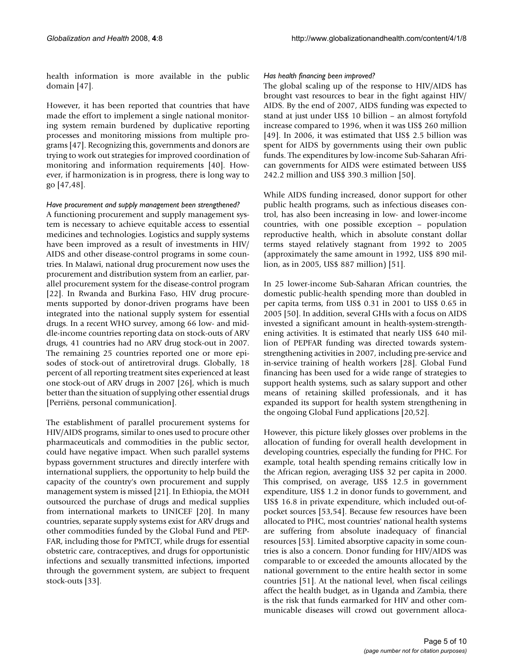health information is more available in the public domain [47].

However, it has been reported that countries that have made the effort to implement a single national monitoring system remain burdened by duplicative reporting processes and monitoring missions from multiple programs [47]. Recognizing this, governments and donors are trying to work out strategies for improved coordination of monitoring and information requirements [40]. However, if harmonization is in progress, there is long way to go [47,48].

## *Have procurement and supply management been strengthened?*

A functioning procurement and supply management system is necessary to achieve equitable access to essential medicines and technologies. Logistics and supply systems have been improved as a result of investments in HIV/ AIDS and other disease-control programs in some countries. In Malawi, national drug procurement now uses the procurement and distribution system from an earlier, parallel procurement system for the disease-control program [22]. In Rwanda and Burkina Faso, HIV drug procurements supported by donor-driven programs have been integrated into the national supply system for essential drugs. In a recent WHO survey, among 66 low- and middle-income countries reporting data on stock-outs of ARV drugs, 41 countries had no ARV drug stock-out in 2007. The remaining 25 countries reported one or more episodes of stock-out of antiretroviral drugs. Globally, 18 percent of all reporting treatment sites experienced at least one stock-out of ARV drugs in 2007 [26], which is much better than the situation of supplying other essential drugs [Perriëns, personal communication].

The establishment of parallel procurement systems for HIV/AIDS programs, similar to ones used to procure other pharmaceuticals and commodities in the public sector, could have negative impact. When such parallel systems bypass government structures and directly interfere with international suppliers, the opportunity to help build the capacity of the country's own procurement and supply management system is missed [21]. In Ethiopia, the MOH outsourced the purchase of drugs and medical supplies from international markets to UNICEF [20]. In many countries, separate supply systems exist for ARV drugs and other commodities funded by the Global Fund and PEP-FAR, including those for PMTCT, while drugs for essential obstetric care, contraceptives, and drugs for opportunistic infections and sexually transmitted infections, imported through the government system, are subject to frequent stock-outs [33].

## *Has health financing been improved?*

The global scaling up of the response to HIV/AIDS has brought vast resources to bear in the fight against HIV/ AIDS. By the end of 2007, AIDS funding was expected to stand at just under US\$ 10 billion – an almost fortyfold increase compared to 1996, when it was US\$ 260 million [49]. In 2006, it was estimated that US\$ 2.5 billion was spent for AIDS by governments using their own public funds. The expenditures by low-income Sub-Saharan African governments for AIDS were estimated between US\$ 242.2 million and US\$ 390.3 million [50].

While AIDS funding increased, donor support for other public health programs, such as infectious diseases control, has also been increasing in low- and lower-income countries, with one possible exception – population reproductive health, which in absolute constant dollar terms stayed relatively stagnant from 1992 to 2005 (approximately the same amount in 1992, US\$ 890 million, as in 2005, US\$ 887 million) [51].

In 25 lower-income Sub-Saharan African countries, the domestic public-health spending more than doubled in per capita terms, from US\$ 0.31 in 2001 to US\$ 0.65 in 2005 [50]. In addition, several GHIs with a focus on AIDS invested a significant amount in health-system-strengthening activities. It is estimated that nearly US\$ 640 million of PEPFAR funding was directed towards systemstrengthening activities in 2007, including pre-service and in-service training of health workers [28]. Global Fund financing has been used for a wide range of strategies to support health systems, such as salary support and other means of retaining skilled professionals, and it has expanded its support for health system strengthening in the ongoing Global Fund applications [20,52].

However, this picture likely glosses over problems in the allocation of funding for overall health development in developing countries, especially the funding for PHC. For example, total health spending remains critically low in the African region, averaging US\$ 32 per capita in 2000. This comprised, on average, US\$ 12.5 in government expenditure, US\$ 1.2 in donor funds to government, and US\$ 16.8 in private expenditure, which included out-ofpocket sources [53,54]. Because few resources have been allocated to PHC, most countries' national health systems are suffering from absolute inadequacy of financial resources [53]. Limited absorptive capacity in some countries is also a concern. Donor funding for HIV/AIDS was comparable to or exceeded the amounts allocated by the national government to the entire health sector in some countries [51]. At the national level, when fiscal ceilings affect the health budget, as in Uganda and Zambia, there is the risk that funds earmarked for HIV and other communicable diseases will crowd out government alloca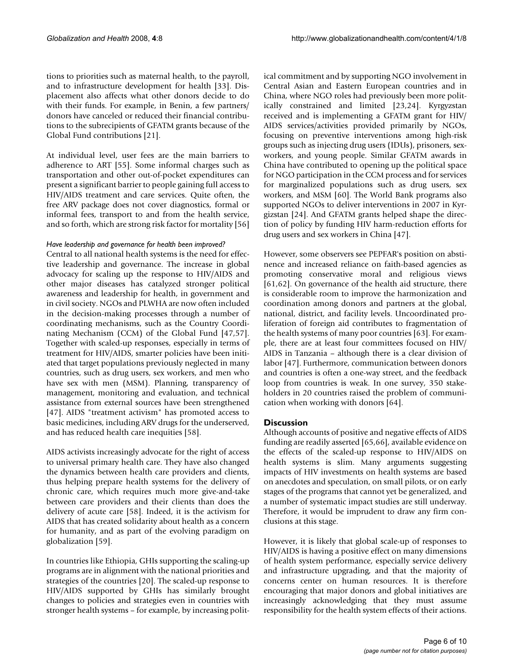tions to priorities such as maternal health, to the payroll, and to infrastructure development for health [33]. Displacement also affects what other donors decide to do with their funds. For example, in Benin, a few partners/ donors have canceled or reduced their financial contributions to the subrecipients of GFATM grants because of the Global Fund contributions [21].

At individual level, user fees are the main barriers to adherence to ART [55]. Some informal charges such as transportation and other out-of-pocket expenditures can present a significant barrier to people gaining full access to HIV/AIDS treatment and care services. Quite often, the free ARV package does not cover diagnostics, formal or informal fees, transport to and from the health service, and so forth, which are strong risk factor for mortality [56]

## *Have leadership and governance for health been improved?*

Central to all national health systems is the need for effective leadership and governance. The increase in global advocacy for scaling up the response to HIV/AIDS and other major diseases has catalyzed stronger political awareness and leadership for health, in government and in civil society. NGOs and PLWHA are now often included in the decision-making processes through a number of coordinating mechanisms, such as the Country Coordinating Mechanism (CCM) of the Global Fund [47,57]. Together with scaled-up responses, especially in terms of treatment for HIV/AIDS, smarter policies have been initiated that target populations previously neglected in many countries, such as drug users, sex workers, and men who have sex with men (MSM). Planning, transparency of management, monitoring and evaluation, and technical assistance from external sources have been strengthened [47]. AIDS "treatment activism" has promoted access to basic medicines, including ARV drugs for the underserved, and has reduced health care inequities [58].

AIDS activists increasingly advocate for the right of access to universal primary health care. They have also changed the dynamics between health care providers and clients, thus helping prepare health systems for the delivery of chronic care, which requires much more give-and-take between care providers and their clients than does the delivery of acute care [58]. Indeed, it is the activism for AIDS that has created solidarity about health as a concern for humanity, and as part of the evolving paradigm on globalization [59].

In countries like Ethiopia, GHIs supporting the scaling-up programs are in alignment with the national priorities and strategies of the countries [20]. The scaled-up response to HIV/AIDS supported by GHIs has similarly brought changes to policies and strategies even in countries with stronger health systems – for example, by increasing political commitment and by supporting NGO involvement in Central Asian and Eastern European countries and in China, where NGO roles had previously been more politically constrained and limited [23,24]. Kyrgyzstan received and is implementing a GFATM grant for HIV/ AIDS services/activities provided primarily by NGOs, focusing on preventive interventions among high-risk groups such as injecting drug users (IDUs), prisoners, sexworkers, and young people. Similar GFATM awards in China have contributed to opening up the political space for NGO participation in the CCM process and for services for marginalized populations such as drug users, sex workers, and MSM [60]. The World Bank programs also supported NGOs to deliver interventions in 2007 in Kyrgizstan [24]. And GFATM grants helped shape the direction of policy by funding HIV harm-reduction efforts for drug users and sex workers in China [47].

However, some observers see PEPFAR's position on abstinence and increased reliance on faith-based agencies as promoting conservative moral and religious views [61,62]. On governance of the health aid structure, there is considerable room to improve the harmonization and coordination among donors and partners at the global, national, district, and facility levels. Uncoordinated proliferation of foreign aid contributes to fragmentation of the health systems of many poor countries [63]. For example, there are at least four committees focused on HIV/ AIDS in Tanzania – although there is a clear division of labor [47]. Furthermore, communication between donors and countries is often a one-way street, and the feedback loop from countries is weak. In one survey, 350 stakeholders in 20 countries raised the problem of communication when working with donors [64].

## **Discussion**

Although accounts of positive and negative effects of AIDS funding are readily asserted [65,66], available evidence on the effects of the scaled-up response to HIV/AIDS on health systems is slim. Many arguments suggesting impacts of HIV investments on health systems are based on anecdotes and speculation, on small pilots, or on early stages of the programs that cannot yet be generalized, and a number of systematic impact studies are still underway. Therefore, it would be imprudent to draw any firm conclusions at this stage.

However, it is likely that global scale-up of responses to HIV/AIDS is having a positive effect on many dimensions of health system performance, especially service delivery and infrastructure upgrading, and that the majority of concerns center on human resources. It is therefore encouraging that major donors and global initiatives are increasingly acknowledging that they must assume responsibility for the health system effects of their actions.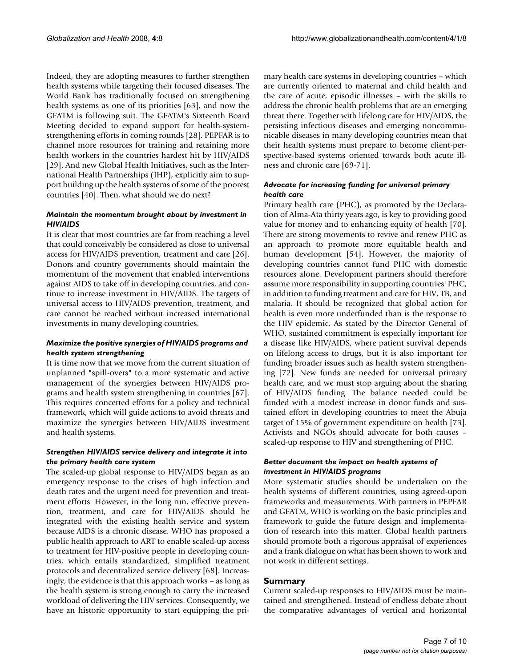Indeed, they are adopting measures to further strengthen health systems while targeting their focused diseases. The World Bank has traditionally focused on strengthening health systems as one of its priorities [63], and now the GFATM is following suit. The GFATM's Sixteenth Board Meeting decided to expand support for health-systemstrengthening efforts in coming rounds [28]. PEPFAR is to channel more resources for training and retaining more health workers in the countries hardest hit by HIV/AIDS [29]. And new Global Health Initiatives, such as the International Health Partnerships (IHP), explicitly aim to support building up the health systems of some of the poorest countries [40]. Then, what should we do next?

## *Maintain the momentum brought about by investment in HIV/AIDS*

It is clear that most countries are far from reaching a level that could conceivably be considered as close to universal access for HIV/AIDS prevention, treatment and care [26]. Donors and country governments should maintain the momentum of the movement that enabled interventions against AIDS to take off in developing countries, and continue to increase investment in HIV/AIDS. The targets of universal access to HIV/AIDS prevention, treatment, and care cannot be reached without increased international investments in many developing countries.

## *Maximize the positive synergies of HIV/AIDS programs and health system strengthening*

It is time now that we move from the current situation of unplanned "spill-overs" to a more systematic and active management of the synergies between HIV/AIDS programs and health system strengthening in countries [67]. This requires concerted efforts for a policy and technical framework, which will guide actions to avoid threats and maximize the synergies between HIV/AIDS investment and health systems.

## *Strengthen HIV/AIDS service delivery and integrate it into the primary health care system*

The scaled-up global response to HIV/AIDS began as an emergency response to the crises of high infection and death rates and the urgent need for prevention and treatment efforts. However, in the long run, effective prevention, treatment, and care for HIV/AIDS should be integrated with the existing health service and system because AIDS is a chronic disease. WHO has proposed a public health approach to ART to enable scaled-up access to treatment for HIV-positive people in developing countries, which entails standardized, simplified treatment protocols and decentralized service delivery [68]. Increasingly, the evidence is that this approach works – as long as the health system is strong enough to carry the increased workload of delivering the HIV services. Consequently, we have an historic opportunity to start equipping the primary health care systems in developing countries – which are currently oriented to maternal and child health and the care of acute, episodic illnesses – with the skills to address the chronic health problems that are an emerging threat there. Together with lifelong care for HIV/AIDS, the persisting infectious diseases and emerging noncommunicable diseases in many developing countries mean that their health systems must prepare to become client-perspective-based systems oriented towards both acute illness and chronic care [69-71].

## *Advocate for increasing funding for universal primary health care*

Primary health care (PHC), as promoted by the Declaration of Alma-Ata thirty years ago, is key to providing good value for money and to enhancing equity of health [70]. There are strong movements to revive and renew PHC as an approach to promote more equitable health and human development [54]. However, the majority of developing countries cannot fund PHC with domestic resources alone. Development partners should therefore assume more responsibility in supporting countries' PHC, in addition to funding treatment and care for HIV, TB, and malaria. It should be recognized that global action for health is even more underfunded than is the response to the HIV epidemic. As stated by the Director General of WHO, sustained commitment is especially important for a disease like HIV/AIDS, where patient survival depends on lifelong access to drugs, but it is also important for funding broader issues such as health system strengthening [72]. New funds are needed for universal primary health care, and we must stop arguing about the sharing of HIV/AIDS funding. The balance needed could be funded with a modest increase in donor funds and sustained effort in developing countries to meet the Abuja target of 15% of government expenditure on health [73]. Activists and NGOs should advocate for both causes – scaled-up response to HIV and strengthening of PHC.

## *Better document the impact on health systems of investment in HIV/AIDS programs*

More systematic studies should be undertaken on the health systems of different countries, using agreed-upon frameworks and measurements. With partners in PEPFAR and GFATM, WHO is working on the basic principles and framework to guide the future design and implementation of research into this matter. Global health partners should promote both a rigorous appraisal of experiences and a frank dialogue on what has been shown to work and not work in different settings.

## **Summary**

Current scaled-up responses to HIV/AIDS must be maintained and strengthened. Instead of endless debate about the comparative advantages of vertical and horizontal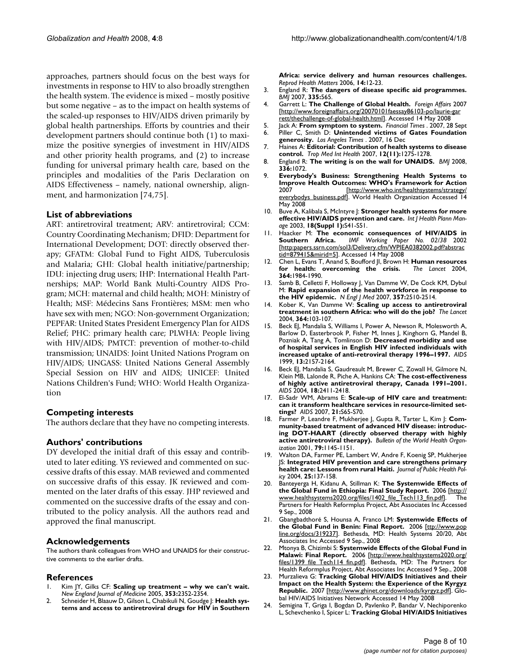approaches, partners should focus on the best ways for investments in response to HIV to also broadly strengthen the health system. The evidence is mixed – mostly positive but some negative – as to the impact on health systems of the scaled-up responses to HIV/AIDS driven primarily by global health partnerships. Efforts by countries and their development partners should continue both (1) to maximize the positive synergies of investment in HIV/AIDS and other priority health programs, and (2) to increase funding for universal primary health care, based on the principles and modalities of the Paris Declaration on AIDS Effectiveness – namely, national ownership, alignment, and harmonization [74,75].

## **List of abbreviations**

ART: antiretroviral treatment; ARV: antiretroviral; CCM: Country Coordinating Mechanism; DFID: Department for International Development; DOT: directly observed therapy; GFATM: Global Fund to Fight AIDS, Tuberculosis and Malaria; GHI: Global health initiative/partnership; IDU: injecting drug users; IHP: International Health Partnerships; MAP: World Bank Multi-Country AIDS Program; MCH: maternal and child health; MOH: Ministry of Health; MSF: Médecins Sans Frontières; MSM: men who have sex with men; NGO: Non-government Organization; PEPFAR: United States President Emergency Plan for AIDS Relief; PHC: primary health care; PLWHA: People living with HIV/AIDS; PMTCT: prevention of mother-to-child transmission; UNAIDS: Joint United Nations Program on HIV/AIDS; UNGASS: United Nations General Assembly Special Session on HIV and AIDS; UNICEF: United Nations Children's Fund; WHO: World Health Organization

#### **Competing interests**

The authors declare that they have no competing interests.

#### **Authors' contributions**

DY developed the initial draft of this essay and contributed to later editing. YS reviewed and commented on successive drafts of this essay. MAB reviewed and commented on successive drafts of this essay. JK reviewed and commented on the later drafts of this essay. JHP reviewed and commented on the successive drafts of the essay and contributed to the policy analysis. All the authors read and approved the final manuscript.

#### **Acknowledgements**

The authors thank colleagues from WHO and UNAIDS for their constructive comments to the earlier drafts.

#### **References**

- Kim JY, Gilks CF: Scaling up treatment why we can't wait. *New England Journal of Medicine* 2005, **353:**2352-2354.
- Schneider H, Blaauw D, Gilson L, Chabikuli N, Goudge J: [Health sys](http://www.ncbi.nlm.nih.gov/entrez/query.fcgi?cmd=Retrieve&db=PubMed&dopt=Abstract&list_uids=16713875)**[tems and access to antiretroviral drugs for HIV in Southern](http://www.ncbi.nlm.nih.gov/entrez/query.fcgi?cmd=Retrieve&db=PubMed&dopt=Abstract&list_uids=16713875)**

**[Africa: service delivery and human resources challenges.](http://www.ncbi.nlm.nih.gov/entrez/query.fcgi?cmd=Retrieve&db=PubMed&dopt=Abstract&list_uids=16713875)** *Reprod Health Matters* 2006, **14:**12-23.

- 3. England R: **The dangers of disease specific aid programmes.** *BMJ* 2007, **335:**565.
- 4. Garrett L: **The Challenge of Global Health.** *Foreign Affairs* 2007 [[http://www.foreignaffairs.org/20070101faessay86103-po/laurie-gar](http://www.foreignaffairs.org/20070101faessay86103-po/laurie-garrett/thechallenge-of-global-health.html) [rett/thechallenge-of-global-health.html\]](http://www.foreignaffairs.org/20070101faessay86103-po/laurie-garrett/thechallenge-of-global-health.html). Accessed 14 May 2008
- 
- 5. Jack A: **[From symptom to system.](http://www.ncbi.nlm.nih.gov/entrez/query.fcgi?cmd=Retrieve&db=PubMed&dopt=Abstract&list_uids=12322402)** *Financial Times* . 2007, 28 Sept 6. Piller C, Smith D: **Unintended victims of Gates Foundation generosity.** *Los Angeles Times* . 2007, 16 Dec
- 7. Haines A: **[Editorial: Contribution of health systems to disease](http://www.ncbi.nlm.nih.gov/entrez/query.fcgi?cmd=Retrieve&db=PubMed&dopt=Abstract&list_uids=18045259) [control.](http://www.ncbi.nlm.nih.gov/entrez/query.fcgi?cmd=Retrieve&db=PubMed&dopt=Abstract&list_uids=18045259)** *Trop Med Int Health* 2007, **12(11):**1275-1278.
- 8. England R: **[The writing is on the wall for UNAIDS.](http://www.ncbi.nlm.nih.gov/entrez/query.fcgi?cmd=Retrieve&db=PubMed&dopt=Abstract&list_uids=18467417)** *BMJ* 2008, **336:**1072.
- 9. **Everybody's Business: Strengthening Health Systems to Improve Health Outcomes: WHO's Framework for Action** [[http://www.who.int/healthsystems/strategy/](http://www.who.int/healthsystems/strategy/everybodys_business.pdf) [everybodys\\_business.pdf\]](http://www.who.int/healthsystems/strategy/everybodys_business.pdf). World Health Organization Accessed 14 May 2008
- 10. Buve A, Kalibala S, McIntyre J: **[Stronger health systems for more](http://www.ncbi.nlm.nih.gov/entrez/query.fcgi?cmd=Retrieve&db=PubMed&dopt=Abstract&list_uids=14661940) [effective HIV/AIDS prevention and care.](http://www.ncbi.nlm.nih.gov/entrez/query.fcgi?cmd=Retrieve&db=PubMed&dopt=Abstract&list_uids=14661940)** *Int J Health Plann Manage* 2003, **18(Suppl 1):**S41-S51.
- 11. Haacker M: **The economic consequences of HIV/AIDS in Southern Africa.** *IMF Working Paper No. 02/38* 2002 [[http:papers.ssrn.com/sol3/Delivery.cfm/WPIEA0382002.pdf?abstrac](http://papers.ssrn.com/sol3/Delivery.cfm/WPIEA0382002.pdf?abstractid=879415&mirid=5) [tid=879415&mirid=5\]](http://papers.ssrn.com/sol3/Delivery.cfm/WPIEA0382002.pdf?abstractid=879415&mirid=5). Accessed 14 May 2008
- 12. Chen L, Evans T, Anand S, Boufford JI, Brown H: **Human resources for health: overcoming the crisis.** *The Lancet* 2004, **364:**1984-1990.
- 13. Samb B, Celletti F, Holloway J, Van Damme W, De Cock KM, Dybul M: **[Rapid expansion of the health workforce in response to](http://www.ncbi.nlm.nih.gov/entrez/query.fcgi?cmd=Retrieve&db=PubMed&dopt=Abstract&list_uids=18077816) [the HIV epidemic.](http://www.ncbi.nlm.nih.gov/entrez/query.fcgi?cmd=Retrieve&db=PubMed&dopt=Abstract&list_uids=18077816)** *N Engl J Med* 2007, **357:**2510-2514.
- 14. Kober K, Van Damme W: **Scaling up access to antiretroviral treatment in southern Africa: who will do the job?** *The Lancet* 2004, **364:**103-107.
- 15. Beck EJ, Mandalia S, Williams I, Power A, Newson R, Molesworth A, Barlow D, Easterbrook P, Fisher M, Innes J, Kinghorn G, Mandel B, Pozniak A, Tang A, Tomlinson D: **[Decreased morbidity and use](http://www.ncbi.nlm.nih.gov/entrez/query.fcgi?cmd=Retrieve&db=PubMed&dopt=Abstract&list_uids=10546870) [of hospital services in English HIV infected individuals with](http://www.ncbi.nlm.nih.gov/entrez/query.fcgi?cmd=Retrieve&db=PubMed&dopt=Abstract&list_uids=10546870) [increased uptake of anti-retroviral therapy 1996–1997.](http://www.ncbi.nlm.nih.gov/entrez/query.fcgi?cmd=Retrieve&db=PubMed&dopt=Abstract&list_uids=10546870)** *AIDS* 1999, **13:**2157-2164.
- 16. Beck EJ, Mandalia S, Gaudreault M, Brewer C, Zowall H, Gilmore N, Klein MB, Lalonde R, Piche A, Hankins CA: **[The cost-effectiveness](http://www.ncbi.nlm.nih.gov/entrez/query.fcgi?cmd=Retrieve&db=PubMed&dopt=Abstract&list_uids=15622317) [of highly active antiretroviral therapy, Canada 1991–2001.](http://www.ncbi.nlm.nih.gov/entrez/query.fcgi?cmd=Retrieve&db=PubMed&dopt=Abstract&list_uids=15622317)** *AIDS* 2004, **18:**2411-2418.
- 17. El-Sadr WM, Abrams E: **[Scale-up of HIV care and treatment:](http://www.ncbi.nlm.nih.gov/entrez/query.fcgi?cmd=Retrieve&db=PubMed&dopt=Abstract&list_uids=18090271) [can it transform healthcare services in resource-limited set](http://www.ncbi.nlm.nih.gov/entrez/query.fcgi?cmd=Retrieve&db=PubMed&dopt=Abstract&list_uids=18090271)[tings?](http://www.ncbi.nlm.nih.gov/entrez/query.fcgi?cmd=Retrieve&db=PubMed&dopt=Abstract&list_uids=18090271)** *AIDS* 2007, **21:**S65-S70.
- 18. Farmer P, Leandre F, Mukherjee J, Gupta R, Tarter L, Kim J: **[Com](http://www.ncbi.nlm.nih.gov/entrez/query.fcgi?cmd=Retrieve&db=PubMed&dopt=Abstract&list_uids=11799447)[munity-based treatment of advanced HIV disease: introduc](http://www.ncbi.nlm.nih.gov/entrez/query.fcgi?cmd=Retrieve&db=PubMed&dopt=Abstract&list_uids=11799447)ing DOT-HAART (directly observed therapy with highly [active antiretroviral therapy\).](http://www.ncbi.nlm.nih.gov/entrez/query.fcgi?cmd=Retrieve&db=PubMed&dopt=Abstract&list_uids=11799447)** *Bulletin of the World Health Organization* 2001, **79:**1145-1151.
- 19. Walton DA, Farmer PE, Lambert W, Andre F, Koenig SP, Mukherjee JS: **[Integrated HIV prevention and care strengthens primary](http://www.ncbi.nlm.nih.gov/entrez/query.fcgi?cmd=Retrieve&db=PubMed&dopt=Abstract&list_uids=15255381) [health care: Lessons from rural Haiti.](http://www.ncbi.nlm.nih.gov/entrez/query.fcgi?cmd=Retrieve&db=PubMed&dopt=Abstract&list_uids=15255381)** *Journal of Public Health Policy* 2004, **25:**137-158.
- 20. Banteyerga H, Kidanu A, Stillman K: **The Systemwide Effects of the Global Fund in Ethiopia: Final Study Report.** 2006 [\[http://](http://www.healthsystems2020.org/files/1402_file_Tech113_fin.pdf) [www.healthsystems2020.org/files/1402\\_file\\_Tech113\\_fin.pdf\]](http://www.healthsystems2020.org/files/1402_file_Tech113_fin.pdf). The Partners for Health Reformplus Project, Abt Associates Inc Accessed 9 Sep., 2008
- 21. Gbangbadthoré S, Hounsa A, Franco LM: **Systemwide Effects of the Global Fund in Benin: Final Report.** 2006 [\[ttp://www.pop](ttp://www.popline.org/docs/319237) [line.org/docs/319237\]](ttp://www.popline.org/docs/319237). Bethesda, MD: Health Systems 20/20, Abt Associates Inc Accessed 9 Sep., 2008
- 22. Mtonya B, Chizimbi S: **Systemwide Effects of the Global Fund in Malawi: Final Report.** 2006 [\[http://www.healthsystems2020.org/](http://www.healthsystems2020.org/files/1399_file_Tech114_fin.pdf) [files/1399\\_file\\_Tech114\\_fin.pdf\]](http://www.healthsystems2020.org/files/1399_file_Tech114_fin.pdf). Bethesda, MD: The Partners for Health Reformplus Project, Abt Associates Inc Accessed 9 Sep., 2008
- 23. Murzalieva G: **Tracking Global HIV/AIDS Initiatives and their Impact on the Health System: the Experience of the Kyrgyz Republic.** 2007 [[http://www.ghinet.org/downloads/kyrgyz.pdf\]](http://www.ghinet.org/downloads/kyrgyz.pdf). Global HIV/AIDS Initiatives Network Accessed 14 May 2008
- 24. Semigina T, Griga I, Bogdan D, Pavlenko P, Bandar V, Nechiporenko L, Schevchenko I, Spicer L: **Tracking Global HIV/AIDS Initiatives**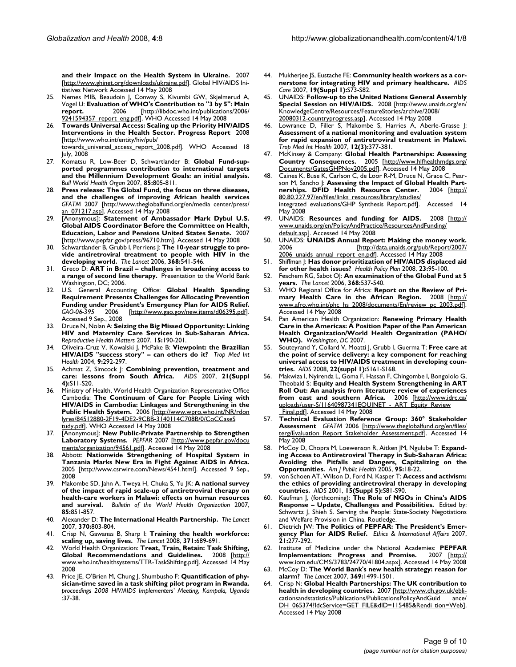**and their Impact on the Health System in Ukraine.** 2007 [<http://www.ghinet.org/downloads/ukraine.pdf>]. Global HIV/AIDS Initiatives Network Accessed 14 May 2008

- 25. Nemes MIB, Beaudoin J, Conway S, Kivumbi GW, Skjelmerud A, Vogel U: **Evaluation of WHO's Contribution to "3 by 5": Main report.** 2006 [[http://libdoc.who.int/publications/2006/](http://libdoc.who.int/publications/2006/9241594357_report_eng.pdf) [9241594357\\_report\\_eng.pdf](http://libdoc.who.int/publications/2006/9241594357_report_eng.pdf)]. WHO Accessed 14 May 2008
- 26. **Towards Universal Access: Scaling up the Priority HIV/AIDS Interventions in the Health Sector. Progress Report** 2008 [[http://www.who.int/entity/hiv/pub/](http://www.who.int/entity/hiv/pub/towards_universal_access_report_2008.pdf) [towards\\_universal\\_access\\_report\\_2008.pdf\]](http://www.who.int/entity/hiv/pub/towards_universal_access_report_2008.pdf). WHO Accessed 18 July, 2008
- 27. Komatsu R, Low-Beer D, Schwartlander B: **[Global Fund-sup](http://www.ncbi.nlm.nih.gov/entrez/query.fcgi?cmd=Retrieve&db=PubMed&dopt=Abstract&list_uids=18038063)[ported programmes contribution to international targets](http://www.ncbi.nlm.nih.gov/entrez/query.fcgi?cmd=Retrieve&db=PubMed&dopt=Abstract&list_uids=18038063) and the Millennium Development Goals: an initial analysis.** *Bull World Health Organ* 2007, **85:**805-811.
- 28. **Press release: The Global Fund, the focus on three diseases, and the challenges of improving African health services** *GFATM* 2007 [\[http://www.theglobalfund.org/en/media\\_center/press/](http://www.theglobalfund.org/en/media_center/press/an_071217.asp) [an\\_071217.asp\]](http://www.theglobalfund.org/en/media_center/press/an_071217.asp). Accessed 14 May 2008
- 29. [Anonymous]: **Statement of Ambassador Mark Dybul U.S. Global AIDS Coordinator Before the Committee on Health, Education, Labor and Pensions United States Senate.** 2007 [<http://www.pepfar.gov/press/96710.htm>]. Accessed 14 May 2008
- 30. Schwartlander B, Grubb I, Perriens J: **The 10-year struggle to provide antiretroviral treatment to people with HIV in the developing world.** *The Lancet* 2006, **368:**541-546.
- 31. Greco D: **ART in Brazil challenges in broadening access to a range of second line therapy.** Presentation to the World Bank Washington, DC; 2006.
- 32. U.S. General Accounting Office: **Global Health Spending Requirement Presents Challenges for Allocating Prevention Funding under President's Emergency Plan for AIDS Relief.** [[http://www.gao.gov/new.items/d06395.pdf\]](http://www.gao.gov/new.items/d06395.pdf). Accessed 9 Sep., 2008
- 33. Druce N, Nolan A: **[Seizing the Big Missed Opportunity: Linking](http://www.ncbi.nlm.nih.gov/entrez/query.fcgi?cmd=Retrieve&db=PubMed&dopt=Abstract&list_uids=17938084) [HIV and Maternity Care Services in Sub-Saharan Africa.](http://www.ncbi.nlm.nih.gov/entrez/query.fcgi?cmd=Retrieve&db=PubMed&dopt=Abstract&list_uids=17938084)** *Reproductive Health Matters* 2007, **15:**190-201.
- 34. Oliveira-Cruz V, Kowalski J, McPake B: **[Viewpoint: the Brazilian](http://www.ncbi.nlm.nih.gov/entrez/query.fcgi?cmd=Retrieve&db=PubMed&dopt=Abstract&list_uids=15040568) [HIV/AIDS "success story" – can others do it?](http://www.ncbi.nlm.nih.gov/entrez/query.fcgi?cmd=Retrieve&db=PubMed&dopt=Abstract&list_uids=15040568)** *Trop Med Int Health* 2004, **9:**292-297.
- 35. Achmat Z, Simcock J: **[Combining prevention, treatment and](http://www.ncbi.nlm.nih.gov/entrez/query.fcgi?cmd=Retrieve&db=PubMed&dopt=Abstract&list_uids=17620746) [care: lessons from South Africa.](http://www.ncbi.nlm.nih.gov/entrez/query.fcgi?cmd=Retrieve&db=PubMed&dopt=Abstract&list_uids=17620746)** *AIDS* 2007, **21(Suppl 4):**S11-S20.
- 36. Ministry of Health, World Health Organization Representative Office Cambodia: **The Continuum of Care for People Living with HIV/AIDS in Cambodia: Linkages and Strengthening in the Public Health System.** 2006 [[http://www.wpro.who.int/NR/rdon](http://www.wpro.who.int/NR/rdonlyres/84512880-2F19-4DE2-9CBB-3140114C708B/0/CoCCaseStudy.pdf) [lyres/84512880-2F19-4DE2-9CBB-3140114C708B/0/CoCCaseS](http://www.wpro.who.int/NR/rdonlyres/84512880-2F19-4DE2-9CBB-3140114C708B/0/CoCCaseStudy.pdf) [tudy.pdf](http://www.wpro.who.int/NR/rdonlyres/84512880-2F19-4DE2-9CBB-3140114C708B/0/CoCCaseStudy.pdf)]. WHO Accessed 14 May 2008
- 37. [Anonymous]: **New Public-Private Partnership to Strengthen Laboratory Systems.** *PEPFAR* 2007 [[http://www.pepfar.gov/docu](http://www.pepfar.gov/documents/organization/94561.pdf) [ments/organization/94561.pdf\]](http://www.pepfar.gov/documents/organization/94561.pdf). Accessed 14 May 2008
- 38. Abbott: **Nationwide Strengthening of Hospital System in Tanzania Marks New Era in Fight Against AIDS in Africa.** 2005 [<http://www.csrwire.com/News/4541.html>]. Accessed 9 Sep., 2008
- 39. Makombe SD, Jahn A, Tweya H, Chuka S, Yu JK: **[A national survey](http://www.ncbi.nlm.nih.gov/entrez/query.fcgi?cmd=Retrieve&db=PubMed&dopt=Abstract&list_uids=18038075) [of the impact of rapid scale-up of antiretroviral therapy on](http://www.ncbi.nlm.nih.gov/entrez/query.fcgi?cmd=Retrieve&db=PubMed&dopt=Abstract&list_uids=18038075) health-care workers in Malawi: effects on human resources [and survival.](http://www.ncbi.nlm.nih.gov/entrez/query.fcgi?cmd=Retrieve&db=PubMed&dopt=Abstract&list_uids=18038075)** *Bulletin of the World Health Organization* 2007, **85:**851-857.
- 40. Alexander D: **The International Health Partnership.** *The Lancet* 2007, **370:**803-804.
- 41. Crisp N, Gawanas B, Sharp I: **Training the health workforce: scaling up, saving lives.** *The Lancet* 2008, **371:**689-691.
- 42. World Health Organization: **Treat, Train, Retain: Task Shifting, Global Recommendations and Guidelines.** 2008 [[http://](http://www.who.int/healthsystems/TTR-TaskShifting.pdf) [www.who.int/healthsystems/TTR-TaskShifting.pdf](http://www.who.int/healthsystems/TTR-TaskShifting.pdf)]. Accessed 14 May 2008
- 43. Price JE, O'Brien M, Chung J, Shumbusho F: **Quantification of physician-time saved in a task shifting pilot program in Rwanda.** *proceedings 2008 HIV/AIDS Implementers' Meeting, Kampala, Uganda* :37-38.
- 44. Mukherjee JS, Eustache FE: **[Community health workers as a cor](http://www.ncbi.nlm.nih.gov/entrez/query.fcgi?cmd=Retrieve&db=PubMed&dopt=Abstract&list_uids=17364390)[nerstone for integrating HIV and primary healthcare.](http://www.ncbi.nlm.nih.gov/entrez/query.fcgi?cmd=Retrieve&db=PubMed&dopt=Abstract&list_uids=17364390)** *AIDS Care* 2007, **19(Suppl 1):**S73-S82.
- 45. UNAIDS: **Follow-up to the United Nations General Assembly Special Session on HIV/AIDS.** 2008 [\[http://www.unaids.org/en/](http://www.unaids.org/en/KnowledgeCentre/Resources/FeatureStories/archive/2008/20080312-countryprogress.asp) [KnowledgeCentre/Resources/FeatureStories/archive/2008/](http://www.unaids.org/en/KnowledgeCentre/Resources/FeatureStories/archive/2008/20080312-countryprogress.asp) [20080312-countryprogress.asp](http://www.unaids.org/en/KnowledgeCentre/Resources/FeatureStories/archive/2008/20080312-countryprogress.asp)]. Accessed 14 May 2008
- 46. Lowrance D, Filler S, Makombe S, Harries A, Aberle-Grasse J: **[Assessment of a national monitoring and evaluation system](http://www.ncbi.nlm.nih.gov/entrez/query.fcgi?cmd=Retrieve&db=PubMed&dopt=Abstract&list_uids=17313509) for rapid expansion of antiretroviral treatment in Malawi.** *Trop Med Int Health* 2007, **12(3):**377-381.
- 47. McKinsey & Company: **Global Health Partnerships: Assessing Country Consequences.** 2005 [\[http://www.hlfhealthmdgs.org/](http://www.hlfhealthmdgs.org/Documents/GatesGHPNov2005.pdf) [Documents/GatesGHPNov2005.pdf\]](http://www.hlfhealthmdgs.org/Documents/GatesGHPNov2005.pdf). Accessed 14 May 2008
- 48. Caines K, Buse K, Carlson C, de Loor R-M, Druce N, Grace C, Pearson M, Sancho J: Assessing the Impact of Global Health Part-<br>nerships. DFID Health Resource Center. 2004 [http:// nerships. DFID Health Resource Center. [80.80.227.97/en/files/links\\_resources/library/studies/](http://80.80.227.97/en/files/links_resources/library/studies/integrated_evaluations/GHP_Synthesis_Report.pdf) integrated evaluations/GHP Synthesis Report.pdf]. Accessed 14 May 2008
- 49. UNAIDS: **Resources and funding for AIDS.** 2008 [\[http://](http://www.unaids.org/en/PolicyAndPractice/ResourcesAndFunding/default.asp) [www.unaids.org/en/PolicyAndPractice/ResourcesAndFunding/](http://www.unaids.org/en/PolicyAndPractice/ResourcesAndFunding/default.asp) [default.asp](http://www.unaids.org/en/PolicyAndPractice/ResourcesAndFunding/default.asp)]. Accessed 14 May 2008
- 50. UNAIDS: **UNAIDS Annual Report: Making the money work.** [\[http://data.unaids.org/pub/Report/2007/](http://data.unaids.org/pub/Report/2007/2006_unaids_annual_report_en.pdf) [2006\\_unaids\\_annual\\_report\\_en.pdf\]](http://data.unaids.org/pub/Report/2007/2006_unaids_annual_report_en.pdf). Accessed 14 May 2008
- 51. Shiffman J: **[Has donor prioritization of HIV/AIDS displaced aid](http://www.ncbi.nlm.nih.gov/entrez/query.fcgi?cmd=Retrieve&db=PubMed&dopt=Abstract&list_uids=18156161) [for other health issues?](http://www.ncbi.nlm.nih.gov/entrez/query.fcgi?cmd=Retrieve&db=PubMed&dopt=Abstract&list_uids=18156161)** *Health Policy Plan* 2008, **23:**95-100.
- 52. Feachem RG, Sabot OJ: **An examination of the Global Fund at 5 years.** *The Lancet* 2006, **368:**537-540.
- 53. WHO Regional Office for Africa: **Report on the Review of Primary Health Care in the African Region.** 2008 [\[http://](http://www.afro.who.int/phc_hs_2008/documents/En/review_pc_2003.pdf) [www.afro.who.int/phc\\_hs\\_2008/documents/En/review\\_pc\\_2003.pdf\]](http://www.afro.who.int/phc_hs_2008/documents/En/review_pc_2003.pdf). Accessed 14 May 2008
- 54. Pan American Health Organization: **Renewing Primary Health Care in the Americas: A Position Paper of the Pan American Health Organization/World Health Organization (PAHO/ WHO).** *Washington, DC* 2007.
- 55. Souteyrand Y, Collard V, Moatti J, Grubb I, Guerma T: **[Free care at](http://www.ncbi.nlm.nih.gov/entrez/query.fcgi?cmd=Retrieve&db=PubMed&dopt=Abstract&list_uids=18664948) [the point of service delivery: a key component for reaching](http://www.ncbi.nlm.nih.gov/entrez/query.fcgi?cmd=Retrieve&db=PubMed&dopt=Abstract&list_uids=18664948) universal access to HIV/AIDS treatment in developing coun[tries.](http://www.ncbi.nlm.nih.gov/entrez/query.fcgi?cmd=Retrieve&db=PubMed&dopt=Abstract&list_uids=18664948)** *AIDS* 2008, **22(suppl 1):**S161-S168.
- 56. Makwiza I, Nyirenda L, Goma F, Hassan F, Chingombe I, Bongololo G, Theobald S: **[Equity and Health System Strengthening in ART](http://www.ncbi.nlm.nih.gov/entrez/query.fcgi?cmd=Retrieve&db=PubMed&dopt=Abstract&list_uids=16997656) [Roll Out: An analysis from literature review of experiences](http://www.ncbi.nlm.nih.gov/entrez/query.fcgi?cmd=Retrieve&db=PubMed&dopt=Abstract&list_uids=16997656) [from east and southern Africa.](http://www.ncbi.nlm.nih.gov/entrez/query.fcgi?cmd=Retrieve&db=PubMed&dopt=Abstract&list_uids=16997656)** 2006 [\[http://www.idrc.ca/](http://www.idrc.ca/uploads/user-S/11640987341EQUINET_-_ART_Equity_Review  _Final.pdf) uploads/user-S/11640987341EQUINET - ART Equity Review [\\_Final.pdf\]](http://www.idrc.ca/uploads/user-S/11640987341EQUINET_-_ART_Equity_Review  _Final.pdf). Accessed 14 May 2008
- 57. **Technical Evaluation Reference Group: 360° Stakeholder Assessment** *GFATM* 2006 [\[http://www.theglobalfund.org/en/files/](http://www.theglobalfund.org/en/files/terg/Evaluation_Report_Stakeholder_Assessment.pdf) [terg/Evaluation\\_Report\\_Stakeholder\\_Assessment.pdf\]](http://www.theglobalfund.org/en/files/terg/Evaluation_Report_Stakeholder_Assessment.pdf). Accessed 14 May 2008
- 58. McCoy D, Chopra M, Loewenson R, Aitken JM, Ngulube T: **[Expand](http://www.ncbi.nlm.nih.gov/entrez/query.fcgi?cmd=Retrieve&db=PubMed&dopt=Abstract&list_uids=15623853)[ing Access to Antiretroviral Therapy in Sub-Saharan Africa:](http://www.ncbi.nlm.nih.gov/entrez/query.fcgi?cmd=Retrieve&db=PubMed&dopt=Abstract&list_uids=15623853) Avoiding the Pitfalls and Dangers, Capitalizing on the [Opportunities.](http://www.ncbi.nlm.nih.gov/entrez/query.fcgi?cmd=Retrieve&db=PubMed&dopt=Abstract&list_uids=15623853)** *Am J Public Health* 2005, **95:**18-22.
- 59. von Schoen AT, Wilson D, Ford N, Kasper T: **[Access and activism:](http://www.ncbi.nlm.nih.gov/entrez/query.fcgi?cmd=Retrieve&db=PubMed&dopt=Abstract&list_uids=11816178) [the ethics of providing antiretroviral therapy in developing](http://www.ncbi.nlm.nih.gov/entrez/query.fcgi?cmd=Retrieve&db=PubMed&dopt=Abstract&list_uids=11816178) [countries.](http://www.ncbi.nlm.nih.gov/entrez/query.fcgi?cmd=Retrieve&db=PubMed&dopt=Abstract&list_uids=11816178)** *AIDS* 2001, **15(Suppl 5):**S81-S90.
- 60. Kaufman J, (forthcoming): **The Role of NGOs in China's AIDS Response – Update, Challenges and Possibilities.** Edited by: Schwartz J, Shieh S. Serving the People: State-Society Negotiations and Welfare Provision in China. Routledge.
- Dietrich JW: The Politics of PEPFAR: The President's Emer**gency Plan for AIDS Relief.** *Ethics & International Affairs* 2007, **21:**277-292.
- 62. Institute of Medicine under the National Academies: **PEPFAR** Implementation: Progress and Promise. [www.iom.edu/CMS/3783/24770/41804.aspx\]](http://www.iom.edu/CMS/3783/24770/41804.aspx). Accessed 14 May 2008
- 63. McCoy D: **The World Bank's new health strategy: reason for alarm?** *The Lancet* 2007, **369:**1499-1501.
- 64. Crisp N: **Global Health Partnerships: The UK contribution to health in developing countries.** 2007 [http://www.dh.gov.uk/ebli-<br>cationsandstatistics/Publications/PublicationsPolicyAndGuid ance/ cationsandstatistics/Publications/PublicationsPolicyAndGuid [DH\\_065374?IdcService=GET\\_FILE&dID=115485&Rendi tion=Web\]](http://www.dh.gov.uk/en/Publicationsandstatistics/Publications/PublicationsPolicyAndGuidance/DH_065374?IdcService=GET_FILE&dID=115485&Rendition=Web). Accessed 14 May 2008